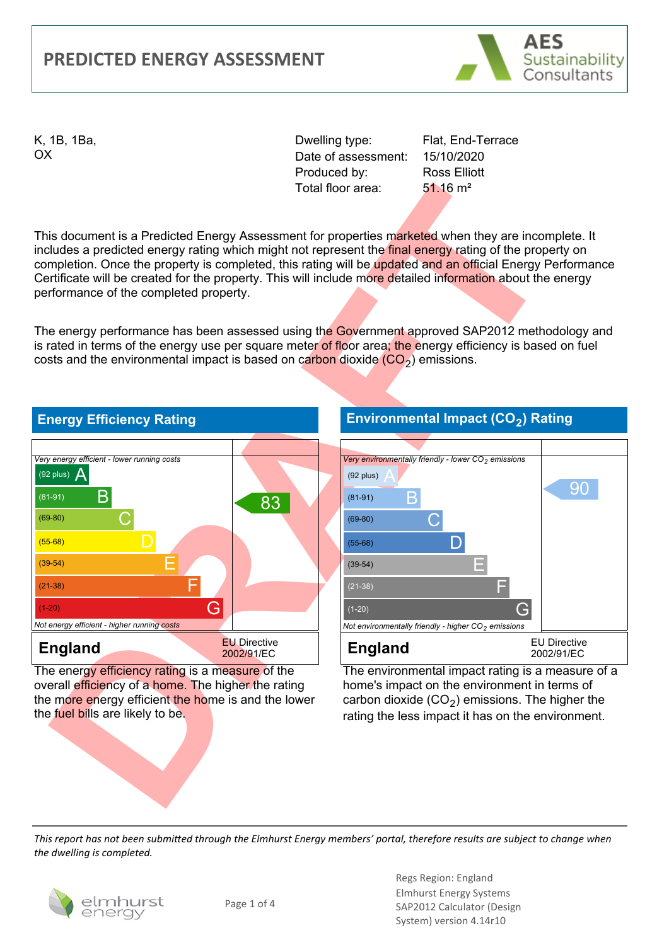#### **PREDICTED ENERGY ASSESSMENT**



K, 1B, 1Ba, OX

Dwelling type: Date of assessment: Produced by: Total floor area:

Flat, End-Terrace 15/10/2020 Ross Elliott 51.16 m²

This document is a Predicted Energy Assessment for properties marketed when they are incomplete. It includes a predicted energy rating which might not represent the final energy rating of the property on completion. Once the property is completed, this rating will be updated and an official Energy Performance Certificate will be created for the property. This will include more detailed information about the energy performance of the completed property.

The energy performance has been assessed using the Government approved SAP2012 methodology and is rated in terms of the energy use per square meter of floor area; the energy efficiency is based on fuel costs and the environmental impact is based on carbon dioxide  $(CO<sub>2</sub>)$  emissions.



The energy efficiency rating is a measure of the overall efficiency of a home. The higher the rating the more energy efficient the home is and the lower the fuel bills are likely to be.

#### **Environmental Impact (CO2) Rating**



The environmental impact rating is a measure of a home's impact on the environment in terms of carbon dioxide  $(CO<sub>2</sub>)$  emissions. The higher the rating the less impact it has on the environment.

*This report has not been submitted through the Elmhurst Energy members' portal, therefore results are subject to change when the dwelling is completed.*

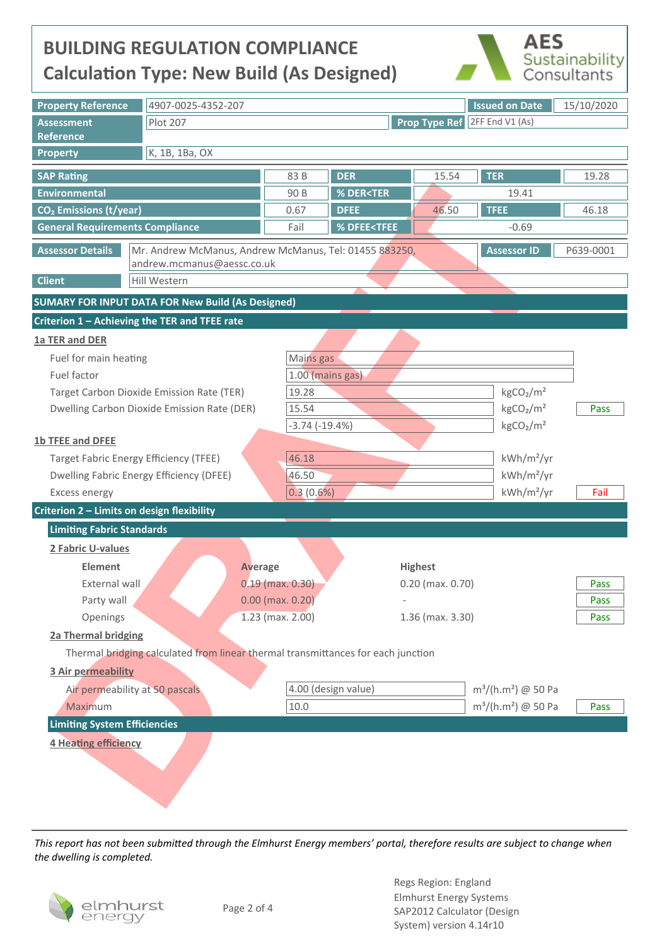## **BUILDING REGULATION COMPLIANCE Calculation Type: New Build (As Designed)**



| <b>Property Reference</b>                                                         | 4907-0025-4352-207                                                               |                            |                                                |                                                                           |                  | <b>Issued on Date</b>                | 15/10/2020 |  |
|-----------------------------------------------------------------------------------|----------------------------------------------------------------------------------|----------------------------|------------------------------------------------|---------------------------------------------------------------------------|------------------|--------------------------------------|------------|--|
| <b>Assessment</b>                                                                 | <b>Plot 207</b>                                                                  |                            |                                                |                                                                           |                  | <b>Prop Type Ref</b> 2FF End V1 (As) |            |  |
| Reference                                                                         |                                                                                  |                            |                                                |                                                                           |                  |                                      |            |  |
| <b>Property</b>                                                                   | K, 1B, 1Ba, OX                                                                   |                            |                                                |                                                                           |                  |                                      |            |  |
| <b>SAP Rating</b>                                                                 |                                                                                  |                            | 83 B                                           | <b>DER</b>                                                                | 15.54            | <b>TER</b>                           | 19.28      |  |
| <b>Environmental</b>                                                              |                                                                                  |                            | 90 B                                           | % DER <ter< th=""><th></th><th>19.41</th><th></th></ter<>                 |                  | 19.41                                |            |  |
| CO <sub>2</sub> Emissions (t/year)                                                |                                                                                  |                            | 0.67                                           | <b>DFEE</b>                                                               | 46.50            | <b>TFEE</b>                          | 46.18      |  |
| <b>General Requirements Compliance</b>                                            |                                                                                  |                            | Fail                                           | % DFEE <tfee< th=""><th></th><th><math>-0.69</math></th><th></th></tfee<> |                  | $-0.69$                              |            |  |
| <b>Assessor Details</b><br>Mr. Andrew McManus, Andrew McManus, Tel: 01455 883250, |                                                                                  |                            |                                                |                                                                           |                  | <b>Assessor ID</b>                   | P639-0001  |  |
|                                                                                   |                                                                                  | andrew.mcmanus@aessc.co.uk |                                                |                                                                           |                  |                                      |            |  |
| <b>Client</b>                                                                     | Hill Western                                                                     |                            |                                                |                                                                           |                  |                                      |            |  |
|                                                                                   | <b>SUMARY FOR INPUT DATA FOR New Build (As Designed)</b>                         |                            |                                                |                                                                           |                  |                                      |            |  |
|                                                                                   | Criterion 1 - Achieving the TER and TFEE rate                                    |                            |                                                |                                                                           |                  |                                      |            |  |
| 1a TER and DER                                                                    |                                                                                  |                            |                                                |                                                                           |                  |                                      |            |  |
| Fuel for main heating                                                             |                                                                                  |                            | Mains gas                                      |                                                                           |                  |                                      |            |  |
| Fuel factor                                                                       |                                                                                  |                            | 1.00 (mains gas)                               |                                                                           |                  |                                      |            |  |
| Target Carbon Dioxide Emission Rate (TER)                                         |                                                                                  |                            | 19.28                                          |                                                                           |                  | kgCO <sub>2</sub> /m <sup>2</sup>    |            |  |
| Dwelling Carbon Dioxide Emission Rate (DER)                                       |                                                                                  |                            | 15.54                                          |                                                                           |                  | kgCO <sub>2</sub> /m <sup>2</sup>    | Pass       |  |
|                                                                                   |                                                                                  |                            | $-3.74(-19.4%)$                                |                                                                           |                  | kgCO <sub>2</sub> /m <sup>2</sup>    |            |  |
| 1b TFEE and DFEE                                                                  |                                                                                  |                            |                                                |                                                                           |                  |                                      |            |  |
|                                                                                   | <b>Target Fabric Energy Efficiency (TFEE)</b>                                    |                            | 46.18<br>kWh/m <sup>2</sup> /yr                |                                                                           |                  |                                      |            |  |
| <b>Dwelling Fabric Energy Efficiency (DFEE)</b>                                   |                                                                                  |                            | 46.50                                          |                                                                           |                  | kWh/m <sup>2</sup> /yr               |            |  |
| <b>Excess energy</b>                                                              |                                                                                  |                            | 0.3(0.6%)                                      |                                                                           |                  | kWh/m <sup>2</sup> /yr               | Fail       |  |
| Criterion 2 - Limits on design flexibility                                        |                                                                                  |                            |                                                |                                                                           |                  |                                      |            |  |
| <b>Limiting Fabric Standards</b>                                                  |                                                                                  |                            |                                                |                                                                           |                  |                                      |            |  |
| 2 Fabric U-values                                                                 |                                                                                  |                            |                                                |                                                                           |                  |                                      |            |  |
| <b>Element</b>                                                                    |                                                                                  | <b>Average</b>             |                                                |                                                                           | <b>Highest</b>   |                                      |            |  |
| External wall                                                                     |                                                                                  |                            | $0.19$ (max. $0.30$ )<br>$0.20$ (max. $0.70$ ) |                                                                           |                  |                                      | Pass       |  |
| Party wall                                                                        |                                                                                  | $0.00$ (max. $0.20$ )      |                                                |                                                                           |                  |                                      | Pass       |  |
| Openings                                                                          |                                                                                  | $1.23$ (max. $2.00$ )      |                                                |                                                                           | 1.36 (max. 3.30) |                                      | Pass       |  |
| 2a Thermal bridging                                                               |                                                                                  |                            |                                                |                                                                           |                  |                                      |            |  |
|                                                                                   | Thermal bridging calculated from linear thermal transmittances for each junction |                            |                                                |                                                                           |                  |                                      |            |  |
| <b>3 Air permeability</b>                                                         |                                                                                  |                            |                                                |                                                                           |                  |                                      |            |  |
| Air permeability at 50 pascals                                                    |                                                                                  |                            |                                                | 4.00 (design value)                                                       |                  | $m^3/(h.m^2)$ @ 50 Pa                |            |  |
| Maximum                                                                           |                                                                                  |                            | 10.0                                           |                                                                           |                  | $m^3/(h.m^2)$ @ 50 Pa                | Pass       |  |
| <b>Limiting System Efficiencies</b>                                               |                                                                                  |                            |                                                |                                                                           |                  |                                      |            |  |
| 4 Heating efficiency                                                              |                                                                                  |                            |                                                |                                                                           |                  |                                      |            |  |
|                                                                                   |                                                                                  |                            |                                                |                                                                           |                  |                                      |            |  |
|                                                                                   |                                                                                  |                            |                                                |                                                                           |                  |                                      |            |  |
|                                                                                   |                                                                                  |                            |                                                |                                                                           |                  |                                      |            |  |

*This report has not been submiƩed through the Elmhurst Energy members' portal, therefore results are subject to change when the dwelling is completed.*

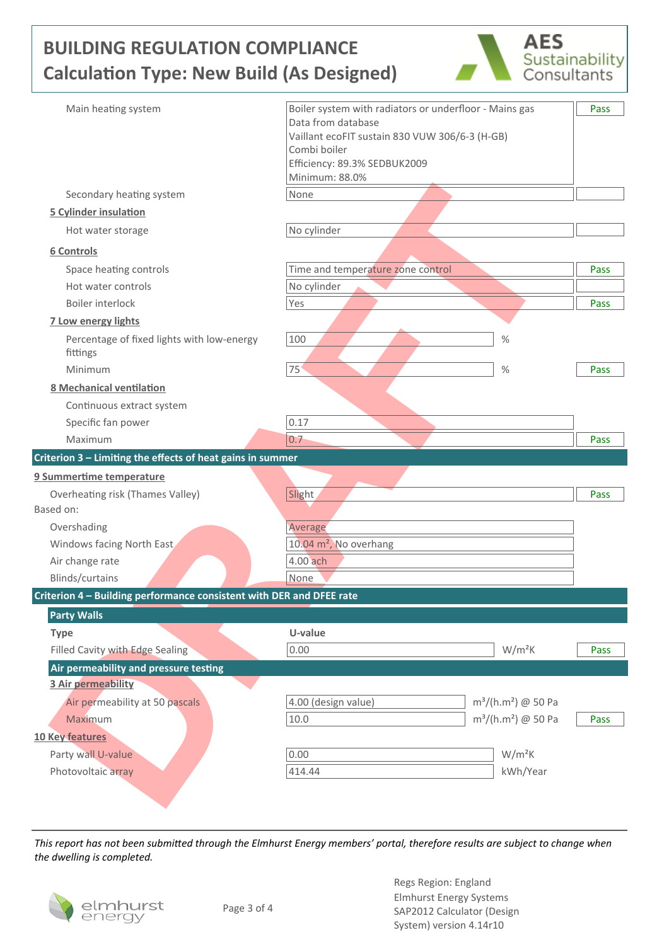# **BUILDING REGULATION COMPLIANCE Calculation Type: New Build (As Designed)**



| Main heating system                                                  | Boiler system with radiators or underfloor - Mains gas | Pass |
|----------------------------------------------------------------------|--------------------------------------------------------|------|
|                                                                      | Data from database                                     |      |
|                                                                      | Vaillant ecoFIT sustain 830 VUW 306/6-3 (H-GB)         |      |
|                                                                      | Combi boiler<br>Efficiency: 89.3% SEDBUK2009           |      |
|                                                                      | Minimum: 88.0%                                         |      |
| Secondary heating system                                             | None                                                   |      |
| <b>5 Cylinder insulation</b>                                         |                                                        |      |
| Hot water storage                                                    | No cylinder                                            |      |
| 6 Controls                                                           |                                                        |      |
| Space heating controls                                               | Time and temperature zone control                      | Pass |
| Hot water controls                                                   | No cylinder                                            |      |
| Boiler interlock                                                     | Yes                                                    | Pass |
| <b>7 Low energy lights</b>                                           |                                                        |      |
| Percentage of fixed lights with low-energy                           | 100<br>$\%$                                            |      |
| fittings                                                             |                                                        |      |
| Minimum                                                              | 75'<br>$\%$                                            | Pass |
| <b>8 Mechanical ventilation</b>                                      |                                                        |      |
| Continuous extract system                                            |                                                        |      |
| Specific fan power                                                   | 0.17                                                   |      |
| Maximum                                                              | 0.7                                                    | Pass |
| Criterion 3 - Limiting the effects of heat gains in summer           |                                                        |      |
| 9 Summertime temperature                                             |                                                        |      |
| Overheating risk (Thames Valley)                                     | Slight                                                 | Pass |
| Based on:                                                            |                                                        |      |
| Overshading                                                          | Average                                                |      |
| Windows facing North East                                            | 10.04 m <sup>2</sup> , No overhang                     |      |
| Air change rate                                                      | 4.00 ach                                               |      |
| Blinds/curtains                                                      | None                                                   |      |
| Criterion 4 - Building performance consistent with DER and DFEE rate |                                                        |      |
| <b>Party Walls</b>                                                   |                                                        |      |
| <b>Type</b>                                                          | U-value                                                |      |
| Filled Cavity with Edge Sealing                                      | 0.00<br>$W/m^2K$                                       | Pass |
| Air permeability and pressure testing                                |                                                        |      |
| 3 Air permeability                                                   |                                                        |      |
| Air permeability at 50 pascals                                       | 4.00 (design value)<br>$m^3/(h.m^2)$ @ 50 Pa           |      |
| Maximum                                                              | 10.0<br>$m^3/(h.m^2)$ @ 50 Pa                          | Pass |
| <b>10 Key features</b>                                               |                                                        |      |
| Party wall U-value                                                   | $W/m^2K$<br>0.00                                       |      |
| Photovoltaic array                                                   | 414.44<br>kWh/Year                                     |      |
|                                                                      |                                                        |      |
|                                                                      |                                                        |      |

*This report has not been submiƩed through the Elmhurst Energy members' portal, therefore results are subject to change when the dwelling is completed.*